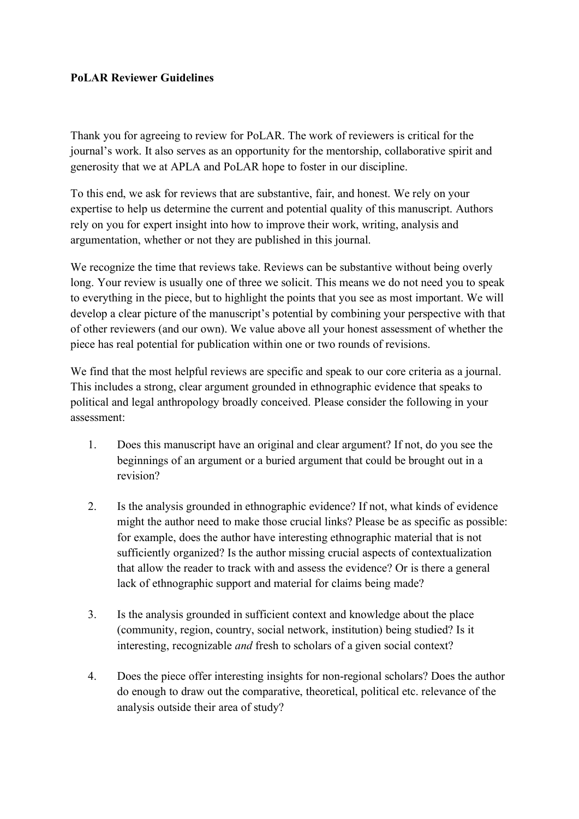## **PoLAR Reviewer Guidelines**

Thank you for agreeing to review for PoLAR. The work of reviewers is critical for the journal's work. It also serves as an opportunity for the mentorship, collaborative spirit and generosity that we at APLA and PoLAR hope to foster in our discipline.

To this end, we ask for reviews that are substantive, fair, and honest. We rely on your expertise to help us determine the current and potential quality of this manuscript. Authors rely on you for expert insight into how to improve their work, writing, analysis and argumentation, whether or not they are published in this journal.

We recognize the time that reviews take. Reviews can be substantive without being overly long. Your review is usually one of three we solicit. This means we do not need you to speak to everything in the piece, but to highlight the points that you see as most important. We will develop a clear picture of the manuscript's potential by combining your perspective with that of other reviewers (and our own). We value above all your honest assessment of whether the piece has real potential for publication within one or two rounds of revisions.

We find that the most helpful reviews are specific and speak to our core criteria as a journal. This includes a strong, clear argument grounded in ethnographic evidence that speaks to political and legal anthropology broadly conceived. Please consider the following in your assessment:

- 1. Does this manuscript have an original and clear argument? If not, do you see the beginnings of an argument or a buried argument that could be brought out in a revision?
- 2. Is the analysis grounded in ethnographic evidence? If not, what kinds of evidence might the author need to make those crucial links? Please be as specific as possible: for example, does the author have interesting ethnographic material that is not sufficiently organized? Is the author missing crucial aspects of contextualization that allow the reader to track with and assess the evidence? Or is there a general lack of ethnographic support and material for claims being made?
- 3. Is the analysis grounded in sufficient context and knowledge about the place (community, region, country, social network, institution) being studied? Is it interesting, recognizable *and* fresh to scholars of a given social context?
- 4. Does the piece offer interesting insights for non-regional scholars? Does the author do enough to draw out the comparative, theoretical, political etc. relevance of the analysis outside their area of study?